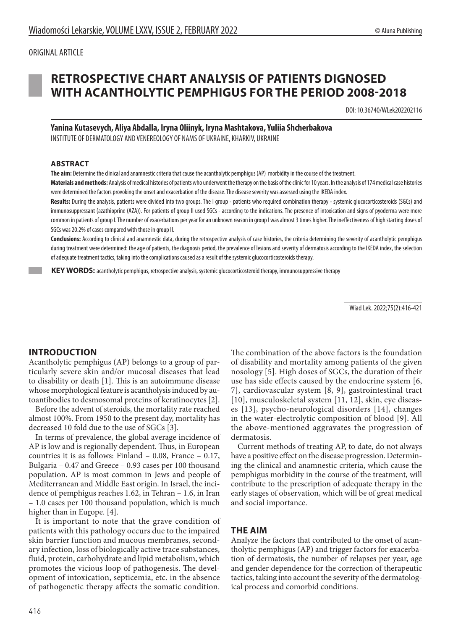## ORIGINAL ARTICLE



# **RETROSPECTIVE CHART ANALYSIS OF PATIENTS DIGNOSED WITH ACANTHOLYTIC PEMPHIGUS FOR THE PERIOD 2008-2018**

DOI: 10.36740/WLek202202116

**Yanina Kutasevych, Aliya Abdalla, Iryna Oliinyk, Iryna Mashtakova, Yuliia Shcherbakova** INSTITUTE OF DERMATOLOGY AND VENEREOLOGY OF NAMS OF UKRAINE, KHARKIV, UKRAINE

#### **ABSTRACT**

**The aim:** Determine the clinical and anamnestic criteria that cause the аcantholytic pemphigus (AP) morbidity in the course of the treatment.

**Materials and methods:** Analysis of medical histories of patients who underwent the therapy on the basis of the clinic for 10 years. In the analysis of 174 medical case histories were determined the factors provoking the onset and exacerbation of the disease. The disease severity was assessed using the IKEDA index.

**Results:** During the analysis, patients were divided into two groups. The I group - patients who required combination therapy - systemic glucocorticosteroids (SGCs) and immunosuppressant (azathioprine (AZA)). For patients of group II used SGCs - according to the indications. The presence of intoxication and signs of pyoderma were more common in patients of group I. The number of exacerbations per year for an unknown reason in group I was almost 3 times higher. The ineffectiveness of high starting doses of SGCs was 20.2% of cases compared with those in group II.

**Conclusions:** According to clinical and anamnestic data, during the retrospective analysis of case histories, the criteria determining the severity of acantholytic pemphigus during treatment were determined: the age of patients, the diagnosis period, the prevalence of lesions and severity of dermatosis according to the IKEDA index, the selection of adequate treatment tactics, taking into the complications caused as a result of the systemic glucocorticosteroids therapy.

 **KEY WORDS:** acantholytic pemphigus, retrospective analysis, systemic glucocorticosteroid therapy, immunosuppressive therapy

Wiad Lek. 2022;75(2):416-421

# **INTRODUCTION**

Acantholytic pemphigus (AP) belongs to a group of particularly severe skin and/or mucosal diseases that lead to disability or death [1]. This is an autoimmune disease whose morphological feature is acantholysis induced by autoantibodies to desmosomal proteins of keratinocytes [2].

Before the advent of steroids, the mortality rate reached almost 100%. From 1950 to the present day, mortality has decreased 10 fold due to the use of SGCs [3].

In terms of prevalence, the global average incidence of AP is low and is regionally dependent. Thus, in European countries it is as follows: Finland – 0.08, France – 0.17, Bulgaria – 0.47 and Greece – 0.93 cases per 100 thousand population. AP is most common in Jews and people of Mediterranean and Middle East origin. In Israel, the incidence of pemphigus reaches 1.62, in Tehran – 1.6, in Iran – 1.0 cases per 100 thousand population, which is much higher than in Europe. [4].

It is important to note that the grave condition of patients with this pathology occurs due to the impaired skin barrier function and mucous membranes, secondary infection, loss of biologically active trace substances, fluid, protein, carbohydrate and lipid metabolism, which promotes the vicious loop of pathogenesis. The development of intoxication, septicemia, etc. in the absence of pathogenetic therapy affects the somatic condition.

The combination of the above factors is the foundation of disability and mortality among patients of the given nosology [5]. High doses of SGCs, the duration of their use has side effects caused by the endocrine system [6, 7], cardiovascular system [8, 9], gastrointestinal tract [10], musculoskeletal system [11, 12], skin, eye diseases [13], psycho-neurological disorders [14], changes in the water-electrolytic composition of blood [9]. All the above-mentioned aggravates the progression of dermatosis.

Current methods of treating AP, to date, do not always have a positive effect on the disease progression. Determining the clinical and anamnestic criteria, which cause the pemphigus morbidity in the course of the treatment, will contribute to the prescription of adequate therapy in the early stages of observation, which will be of great medical and social importance.

# **THE AIM**

Analyze the factors that contributed to the onset of acantholytic pemphigus (AP) and trigger factors for exacerbation of dermatosis, the number of relapses per year, age and gender dependence for the correction of therapeutic tactics, taking into account the severity of the dermatological process and comorbid conditions.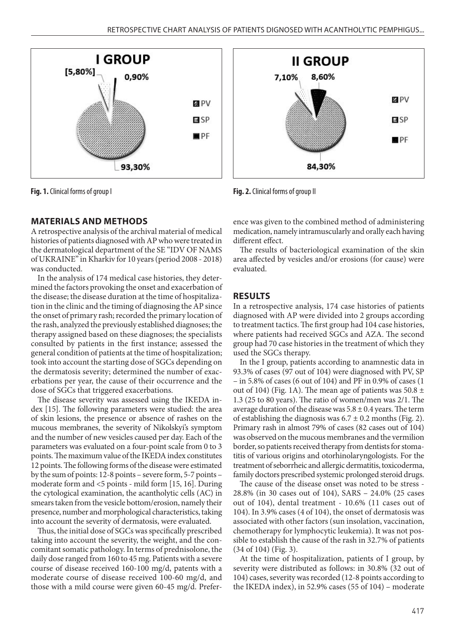

**Fig. 1.** Clinical forms of group I **Fig. 2.** Clinical forms of group II

# **MATERIALS AND METHODS**

A retrospective analysis of the archival material of medical histories of patients diagnosed with AP who were treated in the dermatological department of the SE "IDV OF NAMS of UKRAINE" in Kharkiv for 10 years (period 2008 - 2018) was conducted.

In the analysis of 174 medical case histories, they determined the factors provoking the onset and exacerbation of the disease; the disease duration at the time of hospitalization in the clinic and the timing of diagnosing the AP since the onset of primary rash; recorded the primary location of the rash, analyzed the previously established diagnoses; the therapy assigned based on these diagnoses; the specialists consulted by patients in the first instance; assessed the general condition of patients at the time of hospitalization; took into account the starting dose of SGCs depending on the dermatosis severity; determined the number of exacerbations per year, the cause of their occurrence and the dose of SGCs that triggered exacerbations.

The disease severity was assessed using the IKEDA index [15]. The following parameters were studied: the area of skin lesions, the presence or absence of rashes on the mucous membranes, the severity of Nikolskyi's symptom and the number of new vesicles caused per day. Each of the parameters was evaluated on a four-point scale from 0 to 3 points. The maximum value of the IKEDA index constitutes 12 points. The following forms of the disease were estimated by the sum of points: 12-8 points – severe form, 5-7 points – moderate form and <5 points - mild form [15, 16]. During the cytological examination, the acantholytic cells (AC) in smears taken from the vesicle bottom/erosion, namely their presence, number and morphological characteristics, taking into account the severity of dermatosis, were evaluated.

Thus, the initial dose of SGCs was specifically prescribed taking into account the severity, the weight, and the concomitant somatic pathology. In terms of prednisolone, the daily dose ranged from 160 to 45 mg. Patients with a severe course of disease received 160-100 mg/d, patents with a moderate course of disease received 100-60 mg/d, and those with a mild course were given 60-45 mg/d. Prefer-



ence was given to the combined method of administering medication, namely intramuscularly and orally each having different effect.

The results of bacteriological examination of the skin area affected by vesicles and/or erosions (for cause) were evaluated.

# **RESULTS**

In a retrospective analysis, 174 case histories of patients diagnosed with AP were divided into 2 groups according to treatment tactics. The first group had 104 case histories, where patients had received SGCs and AZA. The second group had 70 case histories in the treatment of which they used the SGCs therapy.

In the I group, patients according to anamnestic data in 93.3% of cases (97 out of 104) were diagnosed with PV, SP – in 5.8% of cases (6 out of 104) and PF in 0.9% of cases (1 out of 104) (Fig. 1A). The mean age of patients was  $50.8 \pm$ 1.3 (25 to 80 years). The ratio of women/men was 2/1. The average duration of the disease was  $5.8 \pm 0.4$  years. The term of establishing the diagnosis was  $6.7 \pm 0.2$  months (Fig. 2). Primary rash in almost 79% of cases (82 cases out of 104) was observed on the mucous membranes and the vermilion border, so patients received therapy from dentists for stomatitis of various origins and otorhinolaryngologists. For the treatment of seborrheic and allergic dermatitis, toxicoderma, family doctors prescribed systemic prolonged steroid drugs.

The cause of the disease onset was noted to be stress - 28.8% (in 30 cases out of 104), SARS – 24.0% (25 cases out of 104), dental treatment - 10.6% (11 cases out of 104). In 3.9% cases (4 of 104), the onset of dermatosis was associated with other factors (sun insolation, vaccination, chemotherapy for lymphocytic leukemia). It was not possible to establish the cause of the rash in 32.7% of patients (34 of 104) (Fig. 3).

At the time of hospitalization, patients of I group, by severity were distributed as follows: in 30.8% (32 out of 104) cases, severity was recorded (12-8 points according to the IKEDA index), in 52.9% cases (55 of 104) – moderate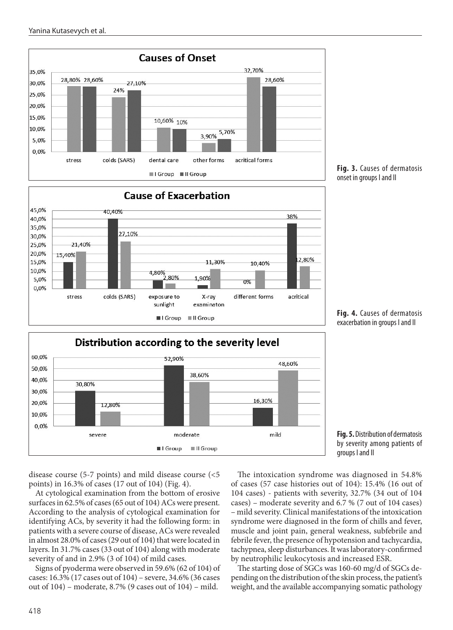







**Fig. 4.** Causes of dermatosis exacerbation in groups I and II



disease course (5-7 points) and mild disease course (<5 points) in 16.3% of cases (17 out of 104) (Fig. 4).

At cytological examination from the bottom of erosive surfaces in 62.5% of cases (65 out of 104) AСs were present. According to the analysis of cytological examination for identifying AСs, by severity it had the following form: in patients with a severe course of disease, AСs were revealed in almost 28.0% of cases (29 out of 104) that were located in layers. In 31.7% cases (33 out of 104) along with moderate severity of and in 2.9% (3 of 104) of mild cases.

Signs of pyoderma were observed in 59.6% (62 of 104) of cases: 16.3% (17 cases out of 104) – severe, 34.6% (36 cases out of 104) – moderate, 8.7% (9 cases out of 104) – mild.

The intoxication syndrome was diagnosed in 54.8% of cases (57 case histories out of 104): 15.4% (16 out of 104 cases) - patients with severity, 32.7% (34 out of 104 cases) – moderate severity and 6.7 % (7 out of 104 cases) – mild severity. Clinical manifestations of the intoxication syndrome were diagnosed in the form of chills and fever, muscle and joint pain, general weakness, subfebrile and febrile fever, the presence of hypotension and tachycardia, tachypnea, sleep disturbances. It was laboratory-confirmed by neutrophilic leukocytosis and increased ESR.

The starting dose of SGCs was 160-60 mg/d of SGCs depending on the distribution of the skin process, the patient's weight, and the available accompanying somatic pathology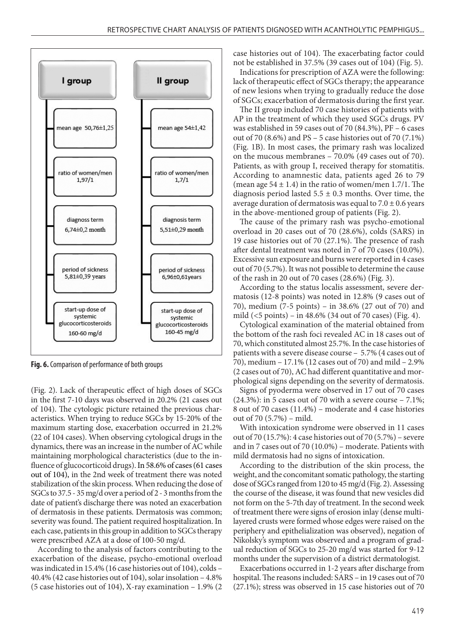

**Fig. 6.** Comparison of performance of both groups

(Fig. 2). Lack of therapeutic effect of high doses of SGCs in the first 7-10 days was observed in 20.2% (21 cases out of 104). The cytologic picture retained the previous characteristics. When trying to reduce SGCs by 15-20% of the maximum starting dose, exacerbation occurred in 21.2% (22 of 104 cases). When observing cytological drugs in the dynamics, there was an increase in the number of AC while maintaining morphological characteristics (due to the influence of glucocorticoid drugs). In 58.6% of cases (61 cases out of 104), in the 2nd week of treatment there was noted stabilization of the skin process. When reducing the dose of SGCs to 37.5 - 35 mg/d over a period of 2 - 3 months from the date of patient's discharge there was noted an exacerbation of dermatosis in these patients. Dermatosis was common; severity was found. The patient required hospitalization. In each case, patients in this group in addition to SGCs therapy were prescribed AZA at a dose of 100-50 mg/d.

According to the analysis of factors contributing to the exacerbation of the disease, psycho-emotional overload was indicated in 15.4% (16 case histories out of 104), colds – 40.4% (42 case histories out of 104), solar insolation – 4.8% (5 case histories out of 104), X-ray examination – 1.9% (2 case histories out of 104). The exacerbating factor could not be established in 37.5% (39 cases out of 104) (Fig. 5).

Indications for prescription of AZA were the following: lack of therapeutic effect of SGCs therapy; the appearance of new lesions when trying to gradually reduce the dose of SGCs; exacerbation of dermatosis during the first year.

The II group included 70 case histories of patients with AP in the treatment of which they used SGCs drugs. PV was established in 59 cases out of 70 (84.3%), PF – 6 cases out of 70 (8.6%) and PS – 5 case histories out of 70 (7.1%) (Fig. 1B). In most cases, the primary rash was localized on the mucous membranes – 70.0% (49 cases out of 70). Patients, as with group I, received therapy for stomatitis. According to anamnestic data, patients aged 26 to 79 (mean age  $54 \pm 1.4$ ) in the ratio of women/men 1.7/1. The diagnosis period lasted  $5.5 \pm 0.3$  months. Over time, the average duration of dermatosis was equal to  $7.0 \pm 0.6$  years in the above-mentioned group of patients (Fig. 2).

The cause of the primary rash was psycho-emotional overload in 20 cases out of 70 (28.6%), colds (SARS) in 19 case histories out of 70 (27.1%). The presence of rash after dental treatment was noted in 7 of 70 cases (10.0%). Excessive sun exposure and burns were reported in 4 cases out of 70 (5.7%). It was not possible to determine the cause of the rash in 20 out of 70 cases (28.6%) (Fig. 3).

According to the status localis assessment, severe dermatosis (12-8 points) was noted in 12.8% (9 cases out of 70), medium (7-5 points) – in 38.6% (27 out of 70) and mild (<5 points) – in 48.6% (34 out of 70 cases) (Fig. 4).

Cytological examination of the material obtained from the bottom of the rash foci revealed AC in 18 cases out of 70, which constituted almost 25.7%. In the case histories of patients with a severe disease course – 5.7% (4 cases out of 70), medium – 17.1% (12 cases out of 70) and mild – 2.9% (2 cases out of 70), AC had different quantitative and morphological signs depending on the severity of dermatosis.

Signs of pyoderma were observed in 17 out of 70 cases  $(24.3\%)$ : in 5 cases out of 70 with a severe course – 7.1%; 8 out of 70 cases (11.4%) – moderate and 4 case histories out of 70 (5.7%) – mild.

With intoxication syndrome were observed in 11 cases out of 70 (15.7%): 4 case histories out of 70 (5.7%) – severe and in 7 cases out of 70 (10.0%) – moderate. Patients with mild dermatosis had no signs of intoxication.

According to the distribution of the skin process, the weight, and the concomitant somatic pathology, the starting dose of SGCs ranged from 120 to 45 mg/d (Fig. 2). Assessing the course of the disease, it was found that new vesicles did not form on the 5-7th day of treatment. In the second week of treatment there were signs of erosion inlay (dense multilayered crusts were formed whose edges were raised on the periphery and epithelialization was observed), negation of Nikolsky's symptom was observed and a program of gradual reduction of SGCs to 25-20 mg/d was started for 9-12 months under the supervision of a district dermatologist.

Exacerbations occurred in 1-2 years after discharge from hospital. The reasons included: SARS – in 19 cases out of 70 (27.1%); stress was observed in 15 case histories out of 70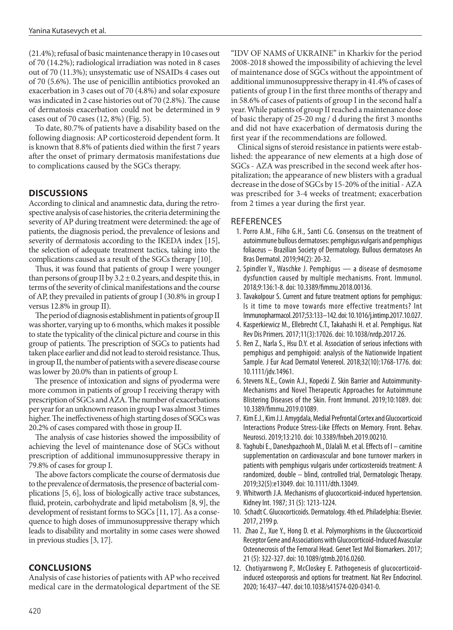(21.4%); refusal of basic maintenance therapy in 10 cases out of 70 (14.2%); radiological irradiation was noted in 8 cases out of 70 (11.3%); unsystematic use of NSAIDs 4 cases out of 70 (5.6%). The use of penicillin antibiotics provoked an exacerbation in 3 cases out of 70 (4.8%) and solar exposure was indicated in 2 case histories out of 70 (2.8%). The cause of dermatosis exacerbation could not be determined in 9 cases out of 70 cases (12, 8%) (Fig. 5).

To date, 80.7% of patients have a disability based on the following diagnosis: AP corticosteroid dependent form. It is known that 8.8% of patients died within the first 7 years after the onset of primary dermatosis manifestations due to complications caused by the SGCs therapy.

## **DISCUSSIONS**

According to clinical and anamnestic data, during the retrospective analysis of case histories, the criteria determining the severity of AP during treatment were determined: the age of patients, the diagnosis period, the prevalence of lesions and severity of dermatosis according to the IKEDA index [15], the selection of adequate treatment tactics, taking into the complications caused as a result of the SGCs therapy [10].

Thus, it was found that patients of group I were younger than persons of group II by  $3.2 \pm 0.2$  years, and despite this, in terms of the severity of clinical manifestations and the course of AP, they prevailed in patients of group I (30.8% in group I versus 12.8% in group II).

The period of diagnosis establishment in patients of group II was shorter, varying up to 6 months, which makes it possible to state the typicality of the clinical picture and course in this group of patients. The prescription of SGCs to patients had taken place earlier and did not lead to steroid resistance. Thus, in group II, the number of patients with a severe disease course was lower by 20.0% than in patients of group I.

The presence of intoxication and signs of pyoderma were more common in patients of group I receiving therapy with prescription of SGCs and AZA. The number of exacerbations per year for an unknown reason in group I was almost 3 times higher. The ineffectiveness of high starting doses of SGCs was 20.2% of cases compared with those in group II.

The analysis of case histories showed the impossibility of achieving the level of maintenance dose of SGCs without prescription of additional immunosuppressive therapy in 79.8% of cases for group I.

The above factors complicate the course of dermatosis due to the prevalence of dermatosis, the presence of bacterial complications [5, 6], loss of biologically active trace substances, fluid, protein, carbohydrate and lipid metabolism [8, 9], the development of resistant forms to SGCs [11, 17]. As a consequence to high doses of immunosuppressive therapy which leads to disability and mortality in some cases were showed in previous studies [3, 17].

### **CONCLUSIONS**

Analysis of case histories of patients with AP who received medical care in the dermatological department of the SE "IDV OF NAMS of UKRAINE" in Kharkiv for the period 2008-2018 showed the impossibility of achieving the level of maintenance dose of SGСs without the appointment of additional immunosuppressive therapy in 41.4% of cases of patients of group I in the first three months of therapy and in 58.6% of cases of patients of group I in the second half a year. While patients of group II reached a maintenance dose of basic therapy of 25-20 mg / d during the first 3 months and did not have exacerbation of dermatosis during the first year if the recommendations are followed.

Clinical signs of steroid resistance in patients were established: the appearance of new elements at a high dose of SGСs - AZA was prescribed in the second week after hospitalization; the appearance of new blisters with a gradual decrease in the dose of SGСs by 15-20% of the initial - AZA was prescribed for 3-4 weeks of treatment; exacerbation from 2 times a year during the first year.

#### **REFERENCES**

- 1. Porro A.М., Filho G.H., Santi C.G. Consensus on the treatment of autoimmune bullous dermatoses: pemphigus vulgaris and pemphigus foliaceus – Brazilian Society of Dermatology. Bullous dermatoses An Bras Dermatol. 2019;94(2): 20-32.
- 2. Spindler V., Waschke J. Pemphigus a disease of desmosome dysfunction caused by multiple mechanisms. Front. Immunol. 2018;9:136:1-8. doi: 10.3389/fimmu.2018.00136.
- 3. Tavakolpour S. Current and future treatment options for pemphigus: Is it time to move towards more effective treatments? Int Immunopharmacol. 2017;53:133–142. doi: 10.1016/j.intimp.2017.10.027.
- 4. Kasperkiewicz M., Ellebrecht C.T., Takahashi H. et al. Pemphigus. Nat Rev Dis Primers. 2017;11(3):17026. doi: 10.1038/nrdp.2017.26.
- 5. Ren Z., Narla S., Hsu D.Y. et al. Association of serious infections with pemphigus and pemphigoid: analysis of the Nationwide Inpatient Sample. J Eur Acad Dermatol Venereol. 2018;32(10):1768-1776. doi: 10.1111/jdv.14961.
- 6. Stevens N.E., Cowin A.J., Kopecki Z. Skin Barrier and Autoimmunity-Mechanisms and Novel Therapeutic Approaches for Autoimmune Blistering Diseases of the Skin. Front Immunol. 2019;10:1089. doi: 10.3389/fimmu.2019.01089.
- 7. Kim E.J., Kim J.J. Amygdala, Medial Prefrontal Cortex and Glucocorticoid Interactions Produce Stress-Like Effects on Memory. Front. Behav. Neurosci. 2019;13:210. doi: 10.3389/fnbeh.2019.00210.
- 8. Yaghubi E., Daneshpazhooh M., DJalali M. et al. Effects of l carnitine supplementation on cardiovascular and bone turnover markers in patients with pemphigus vulgaris under corticosteroids treatment: A randomized, double – blind, controlled trial, Dermatologic Therapy. 2019;32(5):e13049. doi: 10.1111/dth.13049.
- 9. Whitworth J.A. Mechanisms of glucocorticoid-induced hypertension. Kidney Int. 1987; 31 (5): 1213-1224.
- 10. Schadt C. Glucocorticoids. Dermatology. 4th ed. Philadelphia: Elsevier. 2017, 2199 p.
- 11. Zhao Z., Xue Y., Hong D. et al. Polymorphisms in the Glucocorticoid Receptor Gene and Associations with Glucocorticoid-Induced Avascular Osteonecrosis of the Femoral Head. Genet Test Mol Biomarkers. 2017; 21 (5): 322-327. doi: 10.1089/gtmb.2016.0260.
- 12. Chotiyarnwong P., McCloskey E. Pathogenesis of glucocorticoidinduced osteoporosis and options for treatment. Nat Rev Endocrinol. 2020; 16:437–447. doi:10.1038/s41574-020-0341-0.